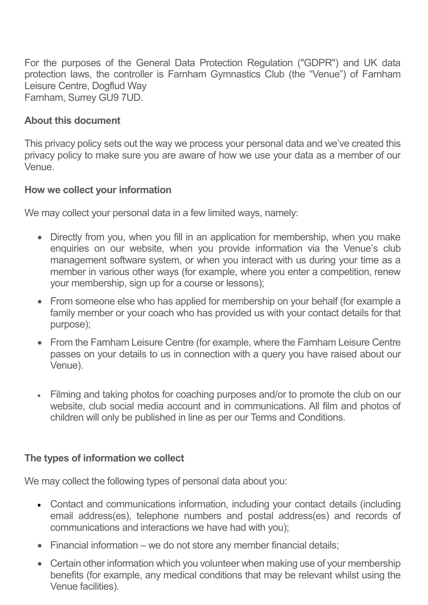For the purposes of the General Data Protection Regulation ("GDPR") and UK data protection laws, the controller is Farnham Gymnastics Club (the "Venue") of Farnham Leisure Centre, Dogflud Way Farnham, Surrey GU9 7UD.

# **About this document**

This privacy policy sets out the way we process your personal data and we've created this privacy policy to make sure you are aware of how we use your data as a member of our Venue.

# **How we collect your information**

We may collect your personal data in a few limited ways, namely:

- Directly from you, when you fill in an application for membership, when you make enquiries on our website, when you provide information via the Venue's club management software system, or when you interact with us during your time as a member in various other ways (for example, where you enter a competition, renew your membership, sign up for a course or lessons);
- From someone else who has applied for membership on your behalf (for example a family member or your coach who has provided us with your contact details for that purpose);
- From the Farnham Leisure Centre (for example, where the Farnham Leisure Centre passes on your details to us in connection with a query you have raised about our Venue).
- Filming and taking photos for coaching purposes and/or to promote the club on our website, club social media account and in communications. All film and photos of children will only be published in line as per our Terms and Conditions.

## **The types of information we collect**

We may collect the following types of personal data about you:

- Contact and communications information, including your contact details (including email address(es), telephone numbers and postal address(es) and records of communications and interactions we have had with you);
- Financial information we do not store any member financial details;
- Certain other information which you volunteer when making use of your membership benefits (for example, any medical conditions that may be relevant whilst using the Venue facilities).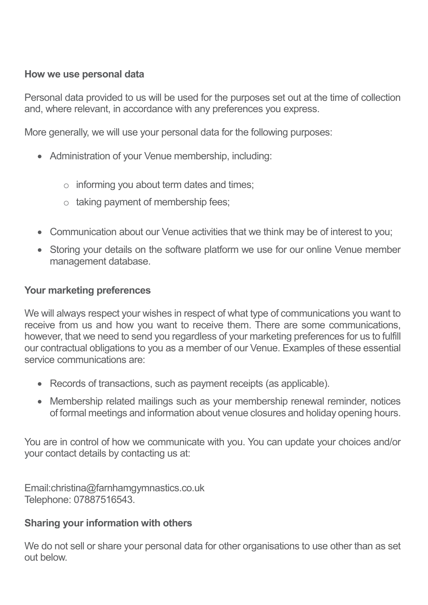# **How we use personal data**

Personal data provided to us will be used for the purposes set out at the time of collection and, where relevant, in accordance with any preferences you express.

More generally, we will use your personal data for the following purposes:

- Administration of your Venue membership, including:
	- $\circ$  informing you about term dates and times:
	- o taking payment of membership fees;
- Communication about our Venue activities that we think may be of interest to you;
- Storing your details on the software platform we use for our online Venue member management database.

#### **Your marketing preferences**

We will always respect your wishes in respect of what type of communications you want to receive from us and how you want to receive them. There are some communications, however, that we need to send you regardless of your marketing preferences for us to fulfill our contractual obligations to you as a member of our Venue. Examples of these essential service communications are:

- Records of transactions, such as payment receipts (as applicable).
- Membership related mailings such as your membership renewal reminder, notices of formal meetings and information about venue closures and holiday opening hours.

You are in control of how we communicate with you. You can update your choices and/or your contact details by contacting us at:

Email:christina@farnhamgymnastics.co.uk Telephone: 07887516543.

## **Sharing your information with others**

We do not sell or share your personal data for other organisations to use other than as set out below.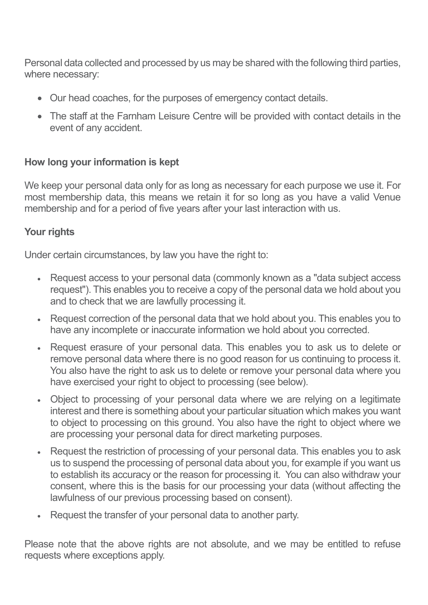Personal data collected and processed by us may be shared with the following third parties, where necessary:

- Our head coaches, for the purposes of emergency contact details.
- The staff at the Farnham Leisure Centre will be provided with contact details in the event of any accident.

## **How long your information is kept**

We keep your personal data only for as long as necessary for each purpose we use it. For most membership data, this means we retain it for so long as you have a valid Venue membership and for a period of five years after your last interaction with us.

## **Your rights**

Under certain circumstances, by law you have the right to:

- Request access to your personal data (commonly known as a "data subject access request"). This enables you to receive a copy of the personal data we hold about you and to check that we are lawfully processing it.
- Request correction of the personal data that we hold about you. This enables you to have any incomplete or inaccurate information we hold about you corrected.
- Request erasure of your personal data. This enables you to ask us to delete or remove personal data where there is no good reason for us continuing to process it. You also have the right to ask us to delete or remove your personal data where you have exercised your right to object to processing (see below).
- Object to processing of your personal data where we are relying on a legitimate interest and there is something about your particular situation which makes you want to object to processing on this ground. You also have the right to object where we are processing your personal data for direct marketing purposes.
- Request the restriction of processing of your personal data. This enables you to ask us to suspend the processing of personal data about you, for example if you want us to establish its accuracy or the reason for processing it. You can also withdraw your consent, where this is the basis for our processing your data (without affecting the lawfulness of our previous processing based on consent).
- Request the transfer of your personal data to another party.

Please note that the above rights are not absolute, and we may be entitled to refuse requests where exceptions apply.